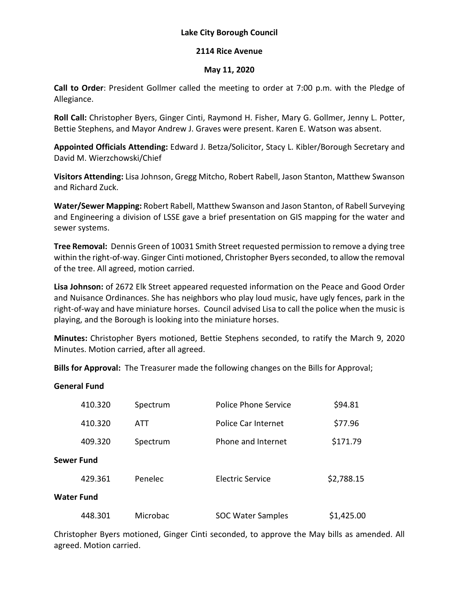# **Lake City Borough Council**

#### **2114 Rice Avenue**

#### **May 11, 2020**

**Call to Order**: President Gollmer called the meeting to order at 7:00 p.m. with the Pledge of Allegiance.

**Roll Call:** Christopher Byers, Ginger Cinti, Raymond H. Fisher, Mary G. Gollmer, Jenny L. Potter, Bettie Stephens, and Mayor Andrew J. Graves were present. Karen E. Watson was absent.

**Appointed Officials Attending:** Edward J. Betza/Solicitor, Stacy L. Kibler/Borough Secretary and David M. Wierzchowski/Chief

**Visitors Attending:** Lisa Johnson, Gregg Mitcho, Robert Rabell, Jason Stanton, Matthew Swanson and Richard Zuck.

**Water/Sewer Mapping:** Robert Rabell, Matthew Swanson and Jason Stanton, of Rabell Surveying and Engineering a division of LSSE gave a brief presentation on GIS mapping for the water and sewer systems.

**Tree Removal:** Dennis Green of 10031 Smith Street requested permission to remove a dying tree within the right-of-way. Ginger Cinti motioned, Christopher Byers seconded, to allow the removal of the tree. All agreed, motion carried.

**Lisa Johnson:** of 2672 Elk Street appeared requested information on the Peace and Good Order and Nuisance Ordinances. She has neighbors who play loud music, have ugly fences, park in the right-of-way and have miniature horses. Council advised Lisa to call the police when the music is playing, and the Borough is looking into the miniature horses.

**Minutes:** Christopher Byers motioned, Bettie Stephens seconded, to ratify the March 9, 2020 Minutes. Motion carried, after all agreed.

**Bills for Approval:** The Treasurer made the following changes on the Bills for Approval;

# **General Fund**

|            | 410.320 | Spectrum | <b>Police Phone Service</b> | \$94.81    |  |
|------------|---------|----------|-----------------------------|------------|--|
|            | 410.320 | ATT      | Police Car Internet         | \$77.96    |  |
|            | 409.320 | Spectrum | Phone and Internet          | \$171.79   |  |
| Sewer Fund |         |          |                             |            |  |
|            | 429.361 | Penelec  | Electric Service            | \$2,788.15 |  |
| Water Fund |         |          |                             |            |  |
|            | 448.301 | Microbac | <b>SOC Water Samples</b>    | \$1,425.00 |  |

Christopher Byers motioned, Ginger Cinti seconded, to approve the May bills as amended. All agreed. Motion carried.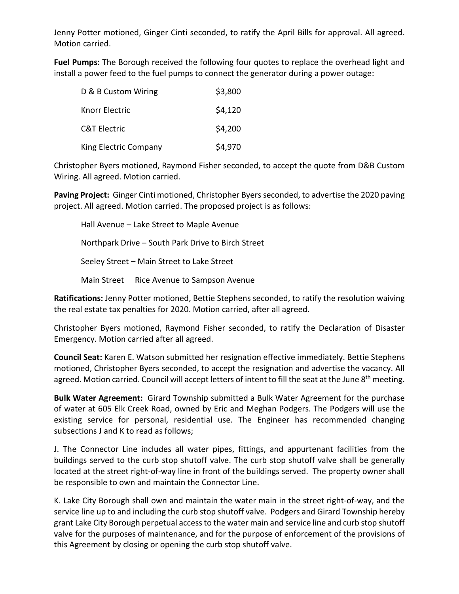Jenny Potter motioned, Ginger Cinti seconded, to ratify the April Bills for approval. All agreed. Motion carried.

**Fuel Pumps:** The Borough received the following four quotes to replace the overhead light and install a power feed to the fuel pumps to connect the generator during a power outage:

| D & B Custom Wiring     | \$3,800 |
|-------------------------|---------|
| Knorr Electric          | \$4,120 |
| <b>C&amp;T Electric</b> | \$4,200 |
| King Electric Company   | \$4,970 |

Christopher Byers motioned, Raymond Fisher seconded, to accept the quote from D&B Custom Wiring. All agreed. Motion carried.

**Paving Project:** Ginger Cinti motioned, Christopher Byers seconded, to advertise the 2020 paving project. All agreed. Motion carried. The proposed project is as follows:

Hall Avenue – Lake Street to Maple Avenue Northpark Drive – South Park Drive to Birch Street Seeley Street – Main Street to Lake Street Main Street Rice Avenue to Sampson Avenue

**Ratifications:** Jenny Potter motioned, Bettie Stephens seconded, to ratify the resolution waiving the real estate tax penalties for 2020. Motion carried, after all agreed.

Christopher Byers motioned, Raymond Fisher seconded, to ratify the Declaration of Disaster Emergency. Motion carried after all agreed.

**Council Seat:** Karen E. Watson submitted her resignation effective immediately. Bettie Stephens motioned, Christopher Byers seconded, to accept the resignation and advertise the vacancy. All agreed. Motion carried. Council will accept letters of intent to fill the seat at the June 8<sup>th</sup> meeting.

**Bulk Water Agreement:** Girard Township submitted a Bulk Water Agreement for the purchase of water at 605 Elk Creek Road, owned by Eric and Meghan Podgers. The Podgers will use the existing service for personal, residential use. The Engineer has recommended changing subsections J and K to read as follows;

J. The Connector Line includes all water pipes, fittings, and appurtenant facilities from the buildings served to the curb stop shutoff valve. The curb stop shutoff valve shall be generally located at the street right-of-way line in front of the buildings served. The property owner shall be responsible to own and maintain the Connector Line.

K. Lake City Borough shall own and maintain the water main in the street right-of-way, and the service line up to and including the curb stop shutoff valve. Podgers and Girard Township hereby grant Lake City Borough perpetual access to the water main and service line and curb stop shutoff valve for the purposes of maintenance, and for the purpose of enforcement of the provisions of this Agreement by closing or opening the curb stop shutoff valve.